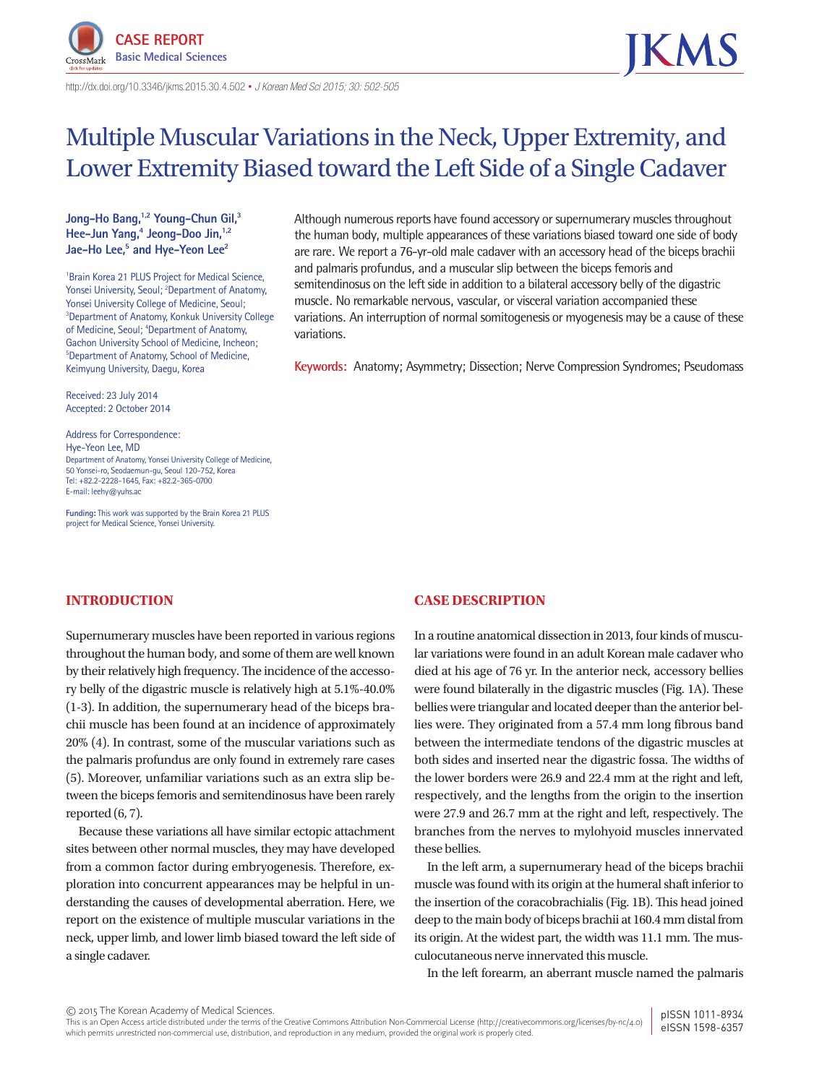

http://dx.doi.org/10.3346/ jkms.2015.30.4.502 • *J Korean Med Sci 2015; 30: 502-505*

# Multiple Muscular Variations in the Neck, Upper Extremity, and Lower Extremity Biased toward the Left Side of a Single Cadaver

## Jong-Ho Bang,<sup>1,2</sup> Young-Chun Gil,<sup>3</sup> Hee-Jun Yang,<sup>4</sup> Jeong-Doo Jin,<sup>1,2</sup> Jae–Ho Lee,<sup>5</sup> and Hye–Yeon Lee<sup>2</sup>

<sup>1</sup> Brain Korea 21 PLUS Project for Medical Science, Yonsei University, Seoul; <sup>2</sup>Department of Anatomy, Yonsei University College of Medicine, Seoul; <sup>3</sup>Department of Anatomy, Konkuk University College of Medicine, Seoul; <sup>4</sup>Department of Anatomy, Gachon University School of Medicine, Incheon; 5 Department of Anatomy, School of Medicine, Keimyung University, Daegu, Korea

Received: 23 July 2014 Accepted: 2 October 2014

Address for Correspondence: Hye-Yeon Lee, MD Department of Anatomy, Yonsei University College of Medicine, 50 Yonsei-ro, Seodaemun-gu, Seoul 120-752, Korea Tel: +82.2-2228-1645, Fax: +82.2-365-0700 E-mail: leehy@yuhs.ac

**Funding:** This work was supported by the Brain Korea 21 PLUS project for Medical Science, Yonsei University.

Although numerous reports have found accessory or supernumerary muscles throughout the human body, multiple appearances of these variations biased toward one side of body are rare. We report a 76-yr-old male cadaver with an accessory head of the biceps brachii and palmaris profundus, and a muscular slip between the biceps femoris and semitendinosus on the left side in addition to a bilateral accessory belly of the digastric muscle. No remarkable nervous, vascular, or visceral variation accompanied these variations. An interruption of normal somitogenesis or myogenesis may be a cause of these variations.

**Keywords:** Anatomy; Asymmetry; Dissection; Nerve Compression Syndromes; Pseudomass

# **INTRODUCTION**

Supernumerary muscles have been reported in various regions throughout the human body, and some of them are well known by their relatively high frequency. The incidence of the accessory belly of the digastric muscle is relatively high at 5.1%-40.0% (1-3). In addition, the supernumerary head of the biceps brachii muscle has been found at an incidence of approximately 20% (4). In contrast, some of the muscular variations such as the palmaris profundus are only found in extremely rare cases (5). Moreover, unfamiliar variations such as an extra slip between the biceps femoris and semitendinosus have been rarely reported  $(6, 7)$ .

Because these variations all have similar ectopic attachment sites between other normal muscles, they may have developed from a common factor during embryogenesis. Therefore, exploration into concurrent appearances may be helpful in understanding the causes of developmental aberration. Here, we report on the existence of multiple muscular variations in the neck, upper limb, and lower limb biased toward the left side of a single cadaver.

# **CASE DESCRIPTION**

In a routine anatomical dissection in 2013, four kinds of muscular variations were found in an adult Korean male cadaver who died at his age of 76 yr. In the anterior neck, accessory bellies were found bilaterally in the digastric muscles (Fig. 1A). These bellies were triangular and located deeper than the anterior bellies were. They originated from a 57.4 mm long fibrous band between the intermediate tendons of the digastric muscles at both sides and inserted near the digastric fossa. The widths of the lower borders were 26.9 and 22.4 mm at the right and left, respectively, and the lengths from the origin to the insertion were 27.9 and 26.7 mm at the right and left, respectively. The branches from the nerves to mylohyoid muscles innervated these bellies.

In the left arm, a supernumerary head of the biceps brachii muscle was found with its origin at the humeral shaft inferior to the insertion of the coracobrachialis (Fig. 1B). This head joined deep to the main body of biceps brachii at 160.4 mm distal from its origin. At the widest part, the width was 11.1 mm. The musculocutaneous nerve innervated this muscle.

In the left forearm, an aberrant muscle named the palmaris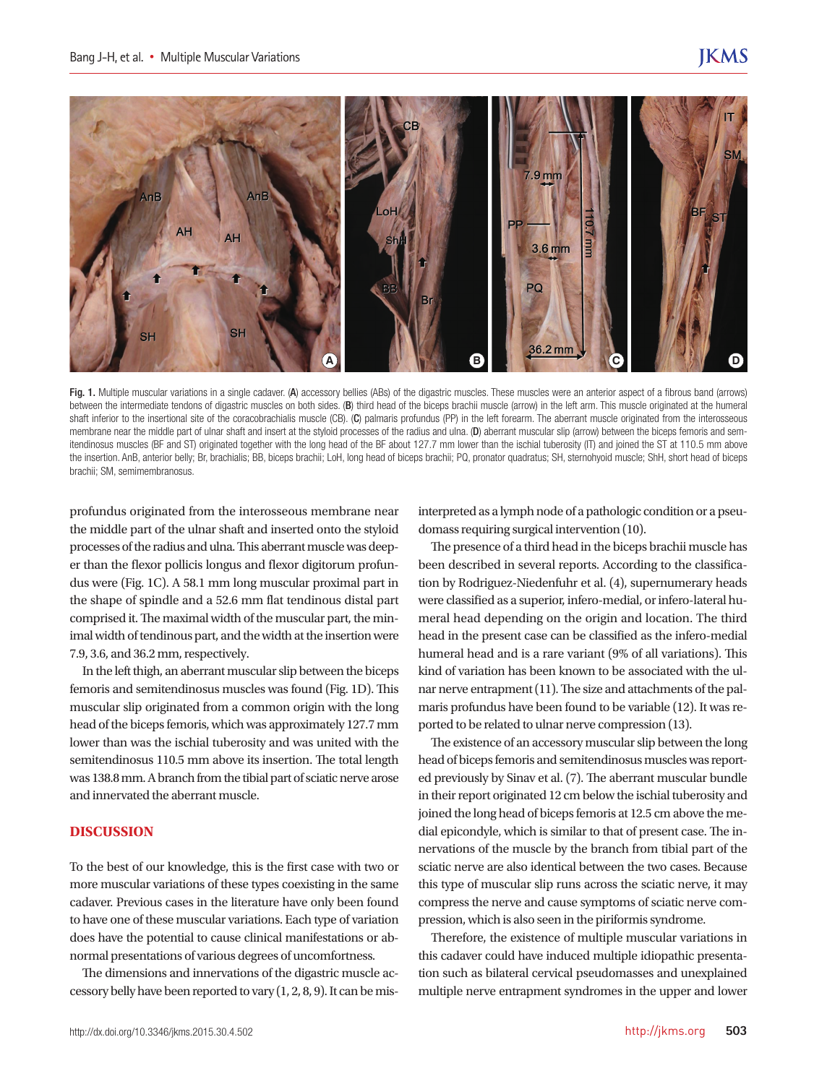

Fig. 1. Multiple muscular variations in a single cadaver. (A) accessory bellies (ABs) of the digastric muscles. These muscles were an anterior aspect of a fibrous band (arrows) between the intermediate tendons of digastric muscles on both sides. (B) third head of the biceps brachii muscle (arrow) in the left arm. This muscle originated at the humeral shaft inferior to the insertional site of the coracobrachialis muscle (CB). (C) palmaris profundus (PP) in the left forearm. The aberrant muscle originated from the interosseous membrane near the middle part of ulnar shaft and insert at the styloid processes of the radius and ulna. (D) aberrant muscular slip (arrow) between the biceps femoris and semitendinosus muscles (BF and ST) originated together with the long head of the BF about 127.7 mm lower than the ischial tuberosity (IT) and joined the ST at 110.5 mm above the insertion. AnB, anterior belly; Br, brachialis; BB, biceps brachii; LoH, long head of biceps brachii; PQ, pronator quadratus; SH, sternohyoid muscle; ShH, short head of biceps brachii; SM, semimembranosus.

profundus originated from the interosseous membrane near the middle part of the ulnar shaft and inserted onto the styloid processes of the radius and ulna. This aberrant muscle was deeper than the flexor pollicis longus and flexor digitorum profundus were (Fig. 1C). A 58.1 mm long muscular proximal part in the shape of spindle and a 52.6 mm flat tendinous distal part comprised it. The maximal width of the muscular part, the minimal width of tendinous part, and the width at the insertion were 7.9, 3.6, and 36.2 mm, respectively.

In the left thigh, an aberrant muscular slip between the biceps femoris and semitendinosus muscles was found (Fig. 1D). This muscular slip originated from a common origin with the long head of the biceps femoris, which was approximately 127.7 mm lower than was the ischial tuberosity and was united with the semitendinosus 110.5 mm above its insertion. The total length was 138.8 mm. A branch from the tibial part of sciatic nerve arose and innervated the aberrant muscle.

## **DISCUSSION**

To the best of our knowledge, this is the first case with two or more muscular variations of these types coexisting in the same cadaver. Previous cases in the literature have only been found to have one of these muscular variations. Each type of variation does have the potential to cause clinical manifestations or abnormal presentations of various degrees of uncomfortness.

The dimensions and innervations of the digastric muscle accessory belly have been reported to vary (1, 2, 8, 9). It can be misinterpreted as a lymph node of a pathologic condition or a pseudomass requiring surgical intervention (10).

The presence of a third head in the biceps brachii muscle has been described in several reports. According to the classification by Rodriguez-Niedenfuhr et al. (4), supernumerary heads were classified as a superior, infero-medial, or infero-lateral humeral head depending on the origin and location. The third head in the present case can be classified as the infero-medial humeral head and is a rare variant (9% of all variations). This kind of variation has been known to be associated with the ulnar nerve entrapment (11). The size and attachments of the palmaris profundus have been found to be variable (12). It was reported to be related to ulnar nerve compression (13).

The existence of an accessory muscular slip between the long head of biceps femoris and semitendinosus muscles was reported previously by Sinav et al. (7). The aberrant muscular bundle in their report originated 12 cm below the ischial tuberosity and joined the long head of biceps femoris at 12.5 cm above the medial epicondyle, which is similar to that of present case. The innervations of the muscle by the branch from tibial part of the sciatic nerve are also identical between the two cases. Because this type of muscular slip runs across the sciatic nerve, it may compress the nerve and cause symptoms of sciatic nerve compression, which is also seen in the piriformis syndrome.

Therefore, the existence of multiple muscular variations in this cadaver could have induced multiple idiopathic presentation such as bilateral cervical pseudomasses and unexplained multiple nerve entrapment syndromes in the upper and lower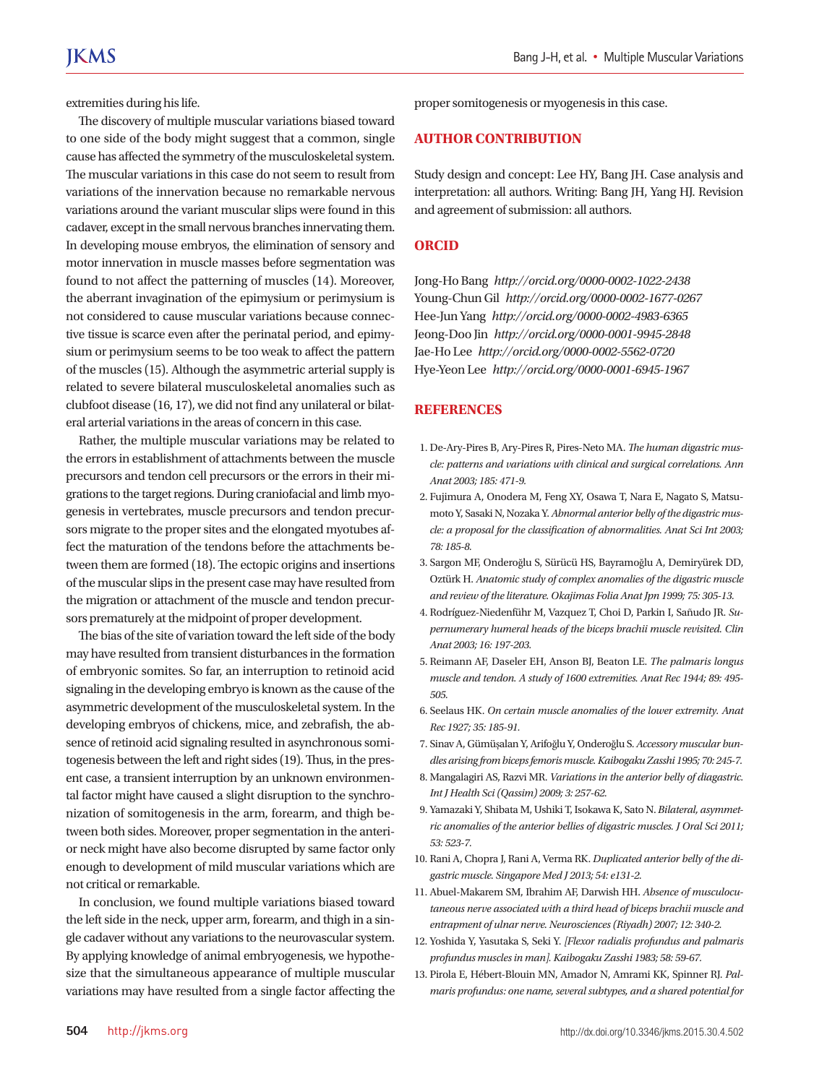extremities during his life.

The discovery of multiple muscular variations biased toward to one side of the body might suggest that a common, single cause has affected the symmetry of the musculoskeletal system. The muscular variations in this case do not seem to result from variations of the innervation because no remarkable nervous variations around the variant muscular slips were found in this cadaver, except in the small nervous branches innervating them. In developing mouse embryos, the elimination of sensory and motor innervation in muscle masses before segmentation was found to not affect the patterning of muscles (14). Moreover, the aberrant invagination of the epimysium or perimysium is not considered to cause muscular variations because connective tissue is scarce even after the perinatal period, and epimysium or perimysium seems to be too weak to affect the pattern of the muscles (15). Although the asymmetric arterial supply is related to severe bilateral musculoskeletal anomalies such as clubfoot disease (16, 17), we did not find any unilateral or bilateral arterial variations in the areas of concern in this case.

Rather, the multiple muscular variations may be related to the errors in establishment of attachments between the muscle precursors and tendon cell precursors or the errors in their migrations to the target regions. During craniofacial and limb myogenesis in vertebrates, muscle precursors and tendon precursors migrate to the proper sites and the elongated myotubes affect the maturation of the tendons before the attachments between them are formed (18). The ectopic origins and insertions of the muscular slips in the present case may have resulted from the migration or attachment of the muscle and tendon precursors prematurely at the midpoint of proper development.

The bias of the site of variation toward the left side of the body may have resulted from transient disturbances in the formation of embryonic somites. So far, an interruption to retinoid acid signaling in the developing embryo is known as the cause of the asymmetric development of the musculoskeletal system. In the developing embryos of chickens, mice, and zebrafish, the absence of retinoid acid signaling resulted in asynchronous somitogenesis between the left and right sides (19). Thus, in the present case, a transient interruption by an unknown environmental factor might have caused a slight disruption to the synchronization of somitogenesis in the arm, forearm, and thigh between both sides. Moreover, proper segmentation in the anterior neck might have also become disrupted by same factor only enough to development of mild muscular variations which are not critical or remarkable.

In conclusion, we found multiple variations biased toward the left side in the neck, upper arm, forearm, and thigh in a single cadaver without any variations to the neurovascular system. By applying knowledge of animal embryogenesis, we hypothesize that the simultaneous appearance of multiple muscular variations may have resulted from a single factor affecting the proper somitogenesis or myogenesis in this case.

## **AUTHOR CONTRIBUTION**

Study design and concept: Lee HY, Bang JH. Case analysis and interpretation: all authors. Writing: Bang JH, Yang HJ. Revision and agreement of submission: all authors.

#### **ORCID**

Jong-Ho Bang *http://orcid.org/0000-0002-1022-2438* Young-Chun Gil *http://orcid.org/0000-0002-1677-0267* Hee-Jun Yang *http://orcid.org/0000-0002-4983-6365* Jeong-Doo Jin *http://orcid.org/0000-0001-9945-2848* Jae-Ho Lee *http://orcid.org/0000-0002-5562-0720* Hye-Yeon Lee *http://orcid.org/0000-0001-6945-1967*

#### **REFERENCES**

- 1. De-Ary-Pires B, Ary-Pires R, Pires-Neto MA. *The human digastric muscle: patterns and variations with clinical and surgical correlations. Ann Anat 2003; 185: 471-9.*
- 2. Fujimura A, Onodera M, Feng XY, Osawa T, Nara E, Nagato S, Matsumoto Y, Sasaki N, Nozaka Y. *Abnormal anterior belly of the digastric muscle: a proposal for the classification of abnormalities. Anat Sci Int 2003; 78: 185-8.*
- 3. Sargon MF, Onderoğlu S, Sürücü HS, Bayramoğlu A, Demiryürek DD, Oztürk H. *Anatomic study of complex anomalies of the digastric muscle and review of the literature. Okajimas Folia Anat Jpn 1999; 75: 305-13.*
- 4. Rodríguez-Niedenführ M, Vazquez T, Choi D, Parkin I, Sañudo JR. *Supernumerary humeral heads of the biceps brachii muscle revisited. Clin Anat 2003; 16: 197-203.*
- 5. Reimann AF, Daseler EH, Anson BJ, Beaton LE. *The palmaris longus muscle and tendon. A study of 1600 extremities. Anat Rec 1944; 89: 495- 505.*
- 6. Seelaus HK. *On certain muscle anomalies of the lower extremity. Anat Rec 1927; 35: 185-91.*
- 7. Sinav A, Gümüşalan Y, Arifoğlu Y, Onderoğlu S. *Accessory muscular bundles arising from biceps femoris muscle. Kaibogaku Zasshi 1995; 70: 245-7.*
- 8. Mangalagiri AS, Razvi MR. *Variations in the anterior belly of diagastric. Int J Health Sci (Qassim) 2009; 3: 257-62.*
- 9. Yamazaki Y, Shibata M, Ushiki T, Isokawa K, Sato N. *Bilateral, asymmetric anomalies of the anterior bellies of digastric muscles. J Oral Sci 2011; 53: 523-7.*
- 10. Rani A, Chopra J, Rani A, Verma RK. *Duplicated anterior belly of the digastric muscle. Singapore Med J 2013; 54: e131-2.*
- 11. Abuel-Makarem SM, Ibrahim AF, Darwish HH. *Absence of musculocutaneous nerve associated with a third head of biceps brachii muscle and entrapment of ulnar nerve. Neurosciences (Riyadh) 2007; 12: 340-2.*
- 12. Yoshida Y, Yasutaka S, Seki Y. *[Flexor radialis profundus and palmaris profundus muscles in man]. Kaibogaku Zasshi 1983; 58: 59-67.*
- 13. Pirola E, Hébert-Blouin MN, Amador N, Amrami KK, Spinner RJ. *Palmaris profundus: one name, several subtypes, and a shared potential for*